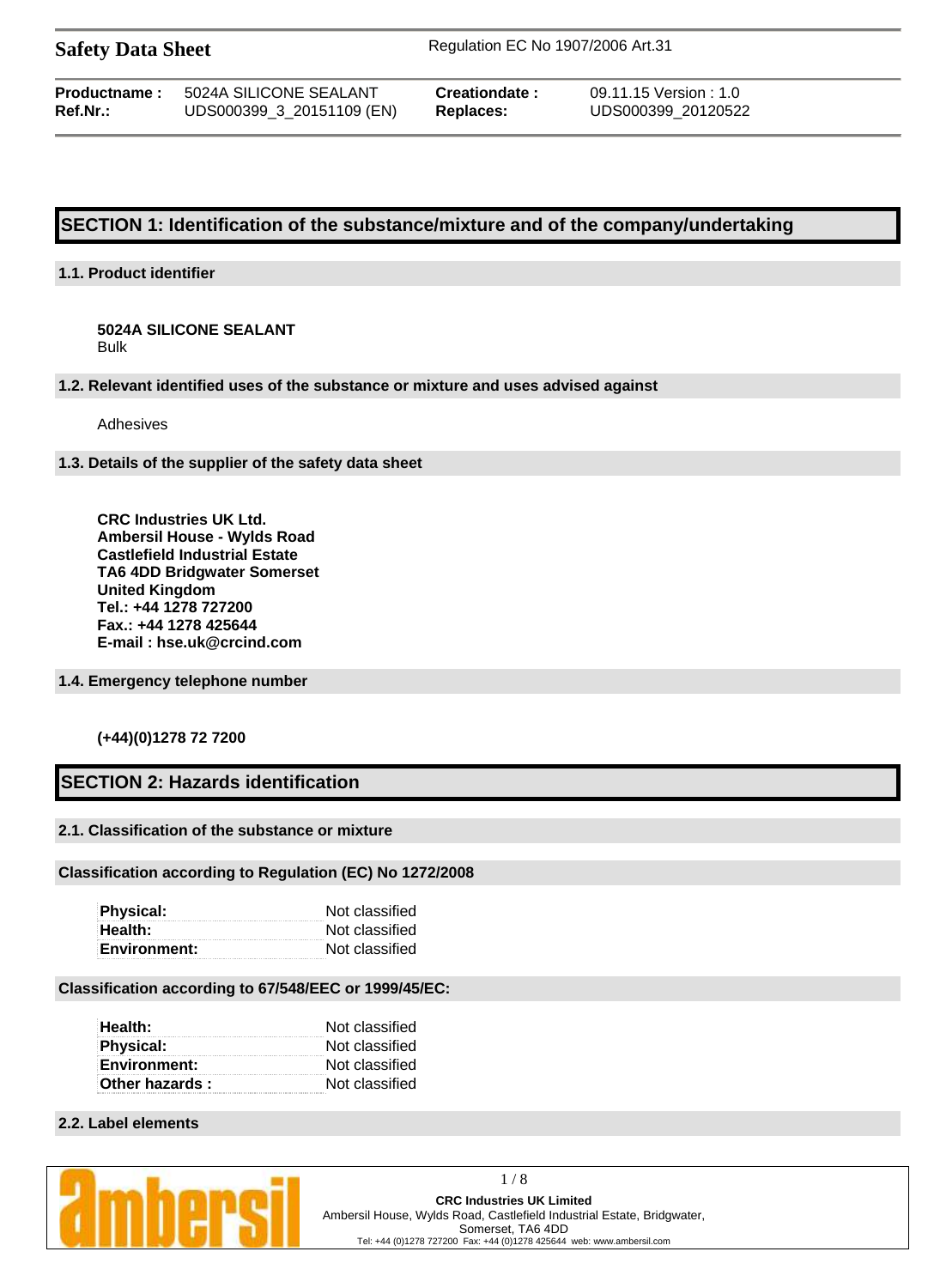| <b>Safety Data Sheet</b> |  |  |
|--------------------------|--|--|
|--------------------------|--|--|

**Safety Data Sheet** Regulation EC No 1907/2006 Art.31

| <b>Productname:</b> | 5024A SILICONE SEALANT    |
|---------------------|---------------------------|
| Ref.Nr.:            | UDS000399_3_20151109 (EN) |

**Creationdate :** 09.11.15 Version : 1.0 **Replaces:** UDS000399\_20120522

# **SECTION 1: Identification of the substance/mixture and of the company/undertaking**

# **1.1. Product identifier**

**5024A SILICONE SEALANT** Bulk

**1.2. Relevant identified uses of the substance or mixture and uses advised against**

Adhesives

**1.3. Details of the supplier of the safety data sheet**

**CRC Industries UK Ltd. Ambersil House - Wylds Road Castlefield Industrial Estate TA6 4DD Bridgwater Somerset United Kingdom Tel.: +44 1278 727200 Fax.: +44 1278 425644 E-mail : hse.uk@crcind.com**

**1.4. Emergency telephone number**

## **(+44)(0)1278 72 7200**

# **SECTION 2: Hazards identification**

# **2.1. Classification of the substance or mixture**

### **Classification according to Regulation (EC) No 1272/2008**

| Physical:           | Not classified |
|---------------------|----------------|
| Health:             | Not classified |
| <b>Environment:</b> | Not classified |

### **Classification according to 67/548/EEC or 1999/45/EC:**

| Health:             | Not classified |
|---------------------|----------------|
| <b>Physical:</b>    | Not classified |
| <b>Environment:</b> | Not classified |
| Other hazards:      | Not classified |

### **2.2. Label elements**

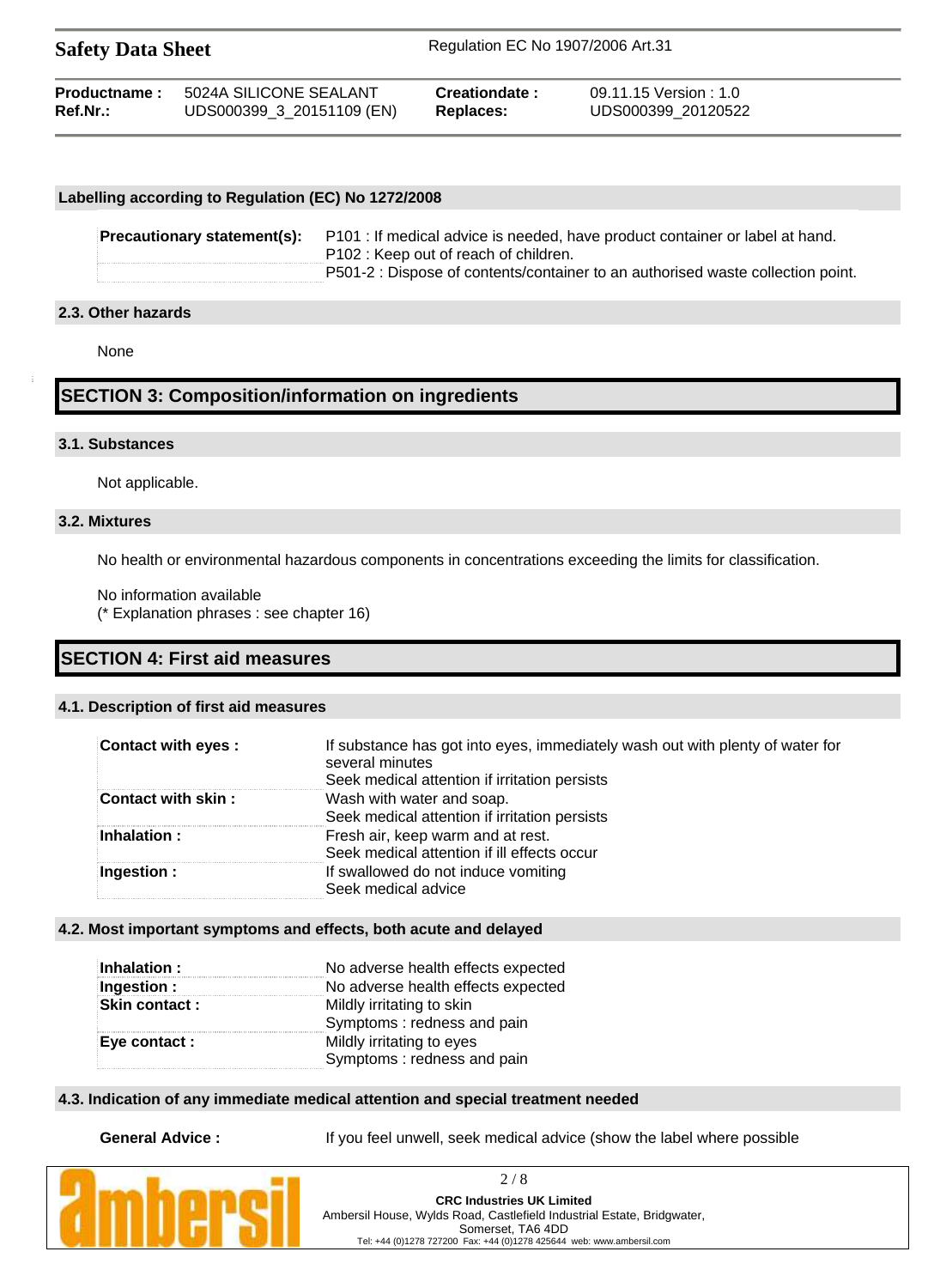| <b>Safety Data Sheet</b> |                           | Regulation EC No 1907/2006 Art.31 |                      |  |
|--------------------------|---------------------------|-----------------------------------|----------------------|--|
| Productname:             | 5024A SILICONE SEALANT    | Creationdate:                     | 09.11.15 Version:1.0 |  |
| Ref.Nr.:                 | UDS000399_3_20151109 (EN) | Replaces:                         | UDS000399 20120522   |  |

### **Labelling according to Regulation (EC) No 1272/2008**

**Precautionary statement(s):** P101 : If medical advice is needed, have product container or label at hand. P102 : Keep out of reach of children. P501-2 : Dispose of contents/container to an authorised waste collection point.

### **2.3. Other hazards**

None

# **SECTION 3: Composition/information on ingredients**

### **3.1. Substances**

Not applicable.

### **3.2. Mixtures**

No health or environmental hazardous components in concentrations exceeding the limits for classification.

No information available (\* Explanation phrases : see chapter 16)

# **SECTION 4: First aid measures**

# **4.1. Description of first aid measures**

| <b>Contact with eyes:</b> | If substance has got into eyes, immediately wash out with plenty of water for<br>several minutes<br>Seek medical attention if irritation persists |
|---------------------------|---------------------------------------------------------------------------------------------------------------------------------------------------|
| Contact with skin:        | Wash with water and soap.<br>Seek medical attention if irritation persists                                                                        |
| Inhalation:               | Fresh air, keep warm and at rest.<br>Seek medical attention if ill effects occur                                                                  |
| Ingestion:                | If swallowed do not induce vomiting<br>Seek medical advice                                                                                        |

### **4.2. Most important symptoms and effects, both acute and delayed**

| Inhalation :         | No adverse health effects expected |
|----------------------|------------------------------------|
| Ingestion :          | No adverse health effects expected |
| <b>Skin contact:</b> | Mildly irritating to skin          |
|                      | Symptoms: redness and pain         |
| Eye contact :        | Mildly irritating to eyes          |
|                      | Symptoms: redness and pain         |

### **4.3. Indication of any immediate medical attention and special treatment needed**

**General Advice :** If you feel unwell, seek medical advice (show the label where possible

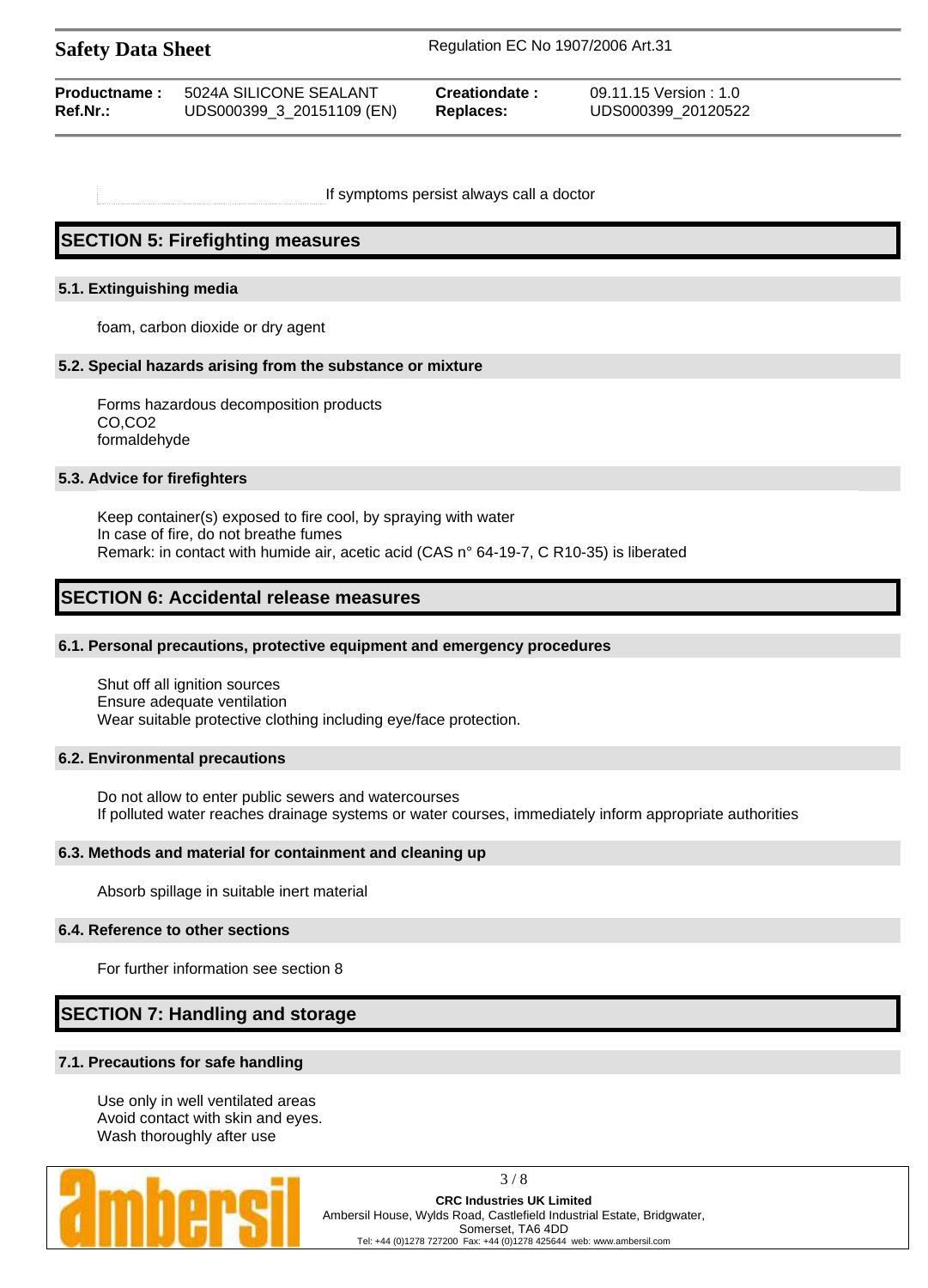| <b>Safety Data Sheet</b> |                        |                      | Regulation EC No 1907/2006 Art.31 |  |
|--------------------------|------------------------|----------------------|-----------------------------------|--|
| <b>Productname:</b>      | 5024A SILICONE SEALANT | <b>Creationdate:</b> | 09.11.15 Version : 1.0            |  |

If symptoms persist always call a doctor

**Ref.Nr.:** UDS000399\_3\_20151109 (EN) **Replaces:** UDS000399\_20120522

# **SECTION 5: Firefighting measures**

### **5.1. Extinguishing media**

foam, carbon dioxide or dry agent

### **5.2. Special hazards arising from the substance or mixture**

Forms hazardous decomposition products CO,CO2 formaldehyde

### **5.3. Advice for firefighters**

Keep container(s) exposed to fire cool, by spraying with water In case of fire, do not breathe fumes Remark: in contact with humide air, acetic acid (CAS n° 64-19-7, C R10-35) is liberated

# **SECTION 6: Accidental release measures**

### **6.1. Personal precautions, protective equipment and emergency procedures**

Shut off all ignition sources Ensure adequate ventilation Wear suitable protective clothing including eye/face protection.

### **6.2. Environmental precautions**

Do not allow to enter public sewers and watercourses If polluted water reaches drainage systems or water courses, immediately inform appropriate authorities

### **6.3. Methods and material for containment and cleaning up**

Absorb spillage in suitable inert material

### **6.4. Reference to other sections**

For further information see section 8

# **SECTION 7: Handling and storage**

## **7.1. Precautions for safe handling**

Use only in well ventilated areas Avoid contact with skin and eyes. Wash thoroughly after use

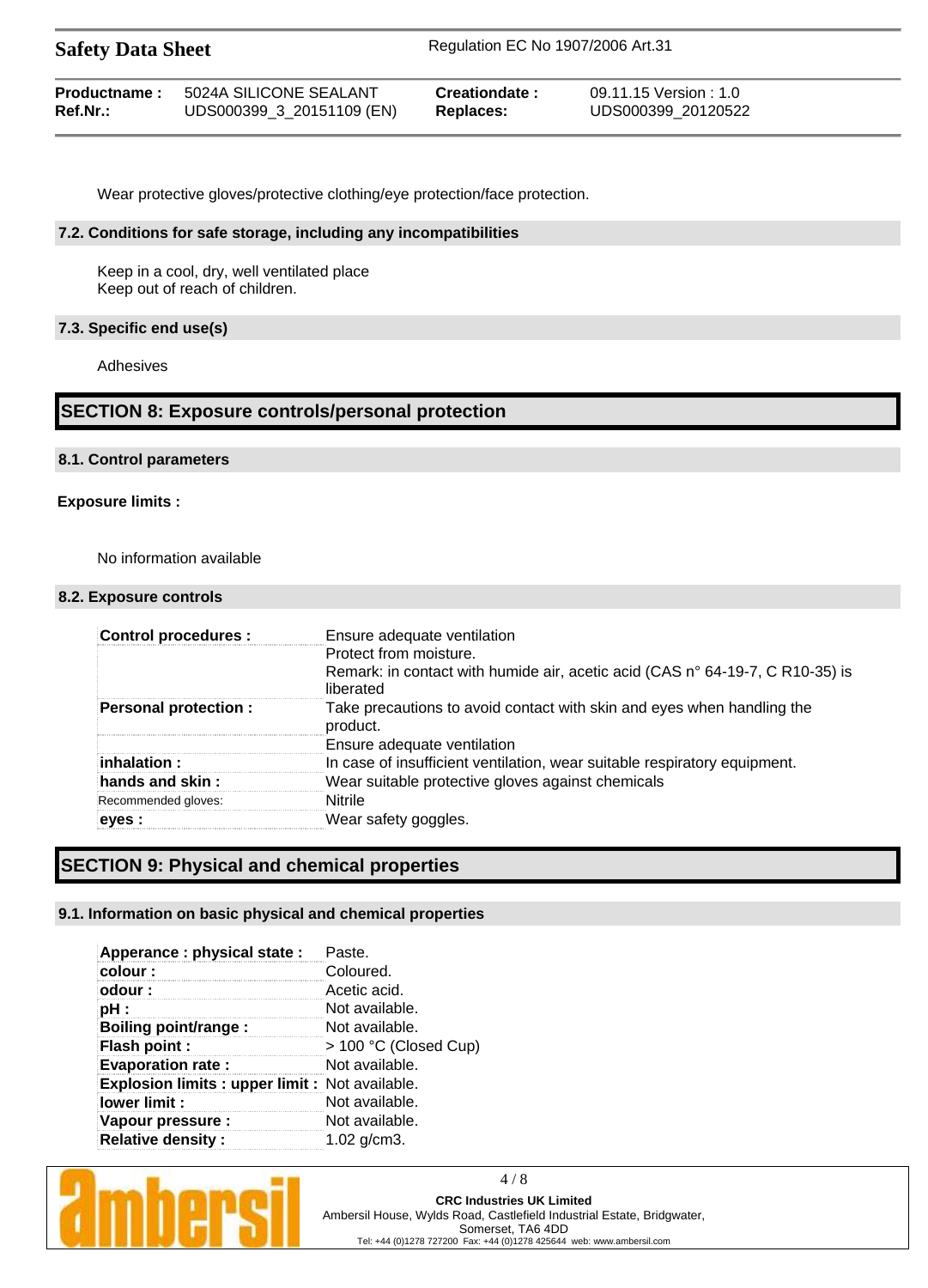| <b>Safety Data Sheet</b> |                           | Regulation EC No 1907/2006 Art.31 |                       |  |
|--------------------------|---------------------------|-----------------------------------|-----------------------|--|
| Productname:             | 5024A SILICONE SEALANT    | Creationdate:                     | 09.11.15 Version: 1.0 |  |
| $Ref.Nr.$ :              | UDS000399_3_20151109 (EN) | Replaces:                         | UDS000399 20120522    |  |

Wear protective gloves/protective clothing/eye protection/face protection.

### **7.2. Conditions for safe storage, including any incompatibilities**

Keep in a cool, dry, well ventilated place Keep out of reach of children.

### **7.3. Specific end use(s)**

Adhesives

# **SECTION 8: Exposure controls/personal protection**

### **8.1. Control parameters**

### **Exposure limits :**

No information available

### **8.2. Exposure controls**

| <b>Control procedures:</b>  | Ensure adequate ventilation                                                                |
|-----------------------------|--------------------------------------------------------------------------------------------|
|                             | Protect from moisture.                                                                     |
|                             | Remark: in contact with humide air, acetic acid (CAS n° 64-19-7, C R10-35) is<br>liberated |
| <b>Personal protection:</b> | Take precautions to avoid contact with skin and eyes when handling the<br>product.         |
|                             | Ensure adequate ventilation                                                                |
| :inhalation :               | In case of insufficient ventilation, wear suitable respiratory equipment.                  |
| hands and skin $\colon$     | Wear suitable protective gloves against chemicals                                          |
| Recommended gloves:         | <b>Nitrile</b>                                                                             |
| eves :                      | Wear safety goggles.                                                                       |

# **SECTION 9: Physical and chemical properties**

## **9.1. Information on basic physical and chemical properties**

| Apperance : physical state :                    | Paste.                |
|-------------------------------------------------|-----------------------|
| colour:                                         | Coloured.             |
| odour:                                          | Acetic acid.          |
| $pH$ :                                          | Not available.        |
| Boiling point/range :                           | Not available.        |
| Flash point :                                   | > 100 °C (Closed Cup) |
| <b>Evaporation rate:</b>                        | Not available.        |
| Explosion limits : upper limit : Not available. |                       |
| lower limit :                                   | Not available.        |
| Vapour pressure :                               | Not available.        |
| <b>Relative density:</b>                        | 1.02 $q/cm3$ .        |



4 / 8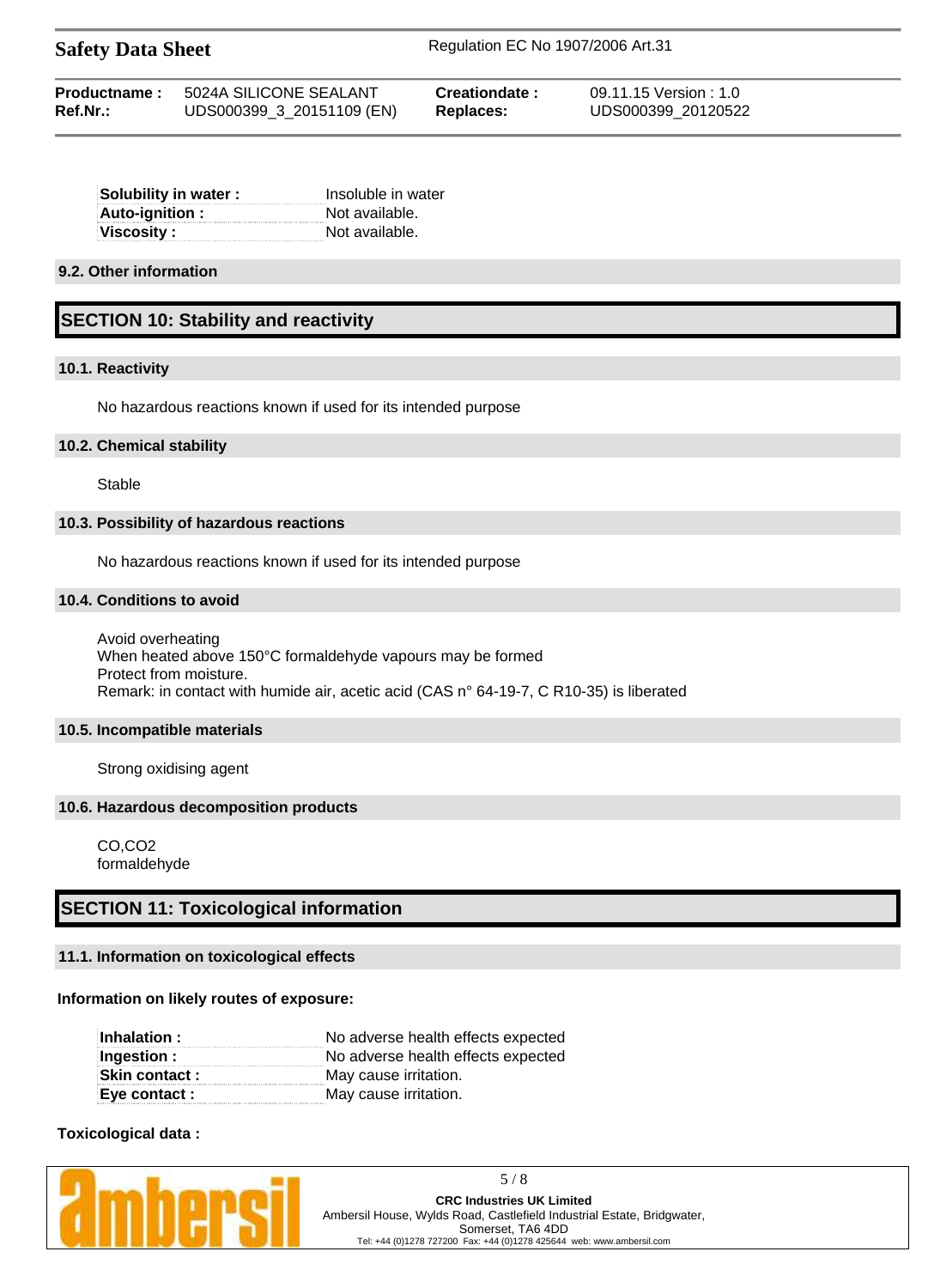| <b>Safety Data Sheet</b> | Regulation EC No 1907/2006 Art.31 |
|--------------------------|-----------------------------------|
|                          |                                   |

| Productname: | 5024A SILICONE SEALANT    | Creationdate: | 09.11.15 Version:1.0 |
|--------------|---------------------------|---------------|----------------------|
| Ref.Nr.:     | UDS000399_3_20151109 (EN) | Replaces:     | UDS000399 20120522   |

| Insoluble in water |
|--------------------|
| Not available.     |
| Not available.     |
|                    |

### **9.2. Other information**

# **SECTION 10: Stability and reactivity**

### **10.1. Reactivity**

No hazardous reactions known if used for its intended purpose

### **10.2. Chemical stability**

Stable

### **10.3. Possibility of hazardous reactions**

No hazardous reactions known if used for its intended purpose

### **10.4. Conditions to avoid**

Avoid overheating When heated above 150°C formaldehyde vapours may be formed Protect from moisture. Remark: in contact with humide air, acetic acid (CAS n° 64-19-7, C R10-35) is liberated

### **10.5. Incompatible materials**

Strong oxidising agent

### **10.6. Hazardous decomposition products**

CO,CO2 formaldehyde

# **SECTION 11: Toxicological information**

## **11.1. Information on toxicological effects**

### **Information on likely routes of exposure:**

| Inhalation :   | No adverse health effects expected |
|----------------|------------------------------------|
| Ingestion :    | No adverse health effects expected |
| Skin contact : | May cause irritation.              |
| Eye contact :  | May cause irritation.              |

## **Toxicological data :**

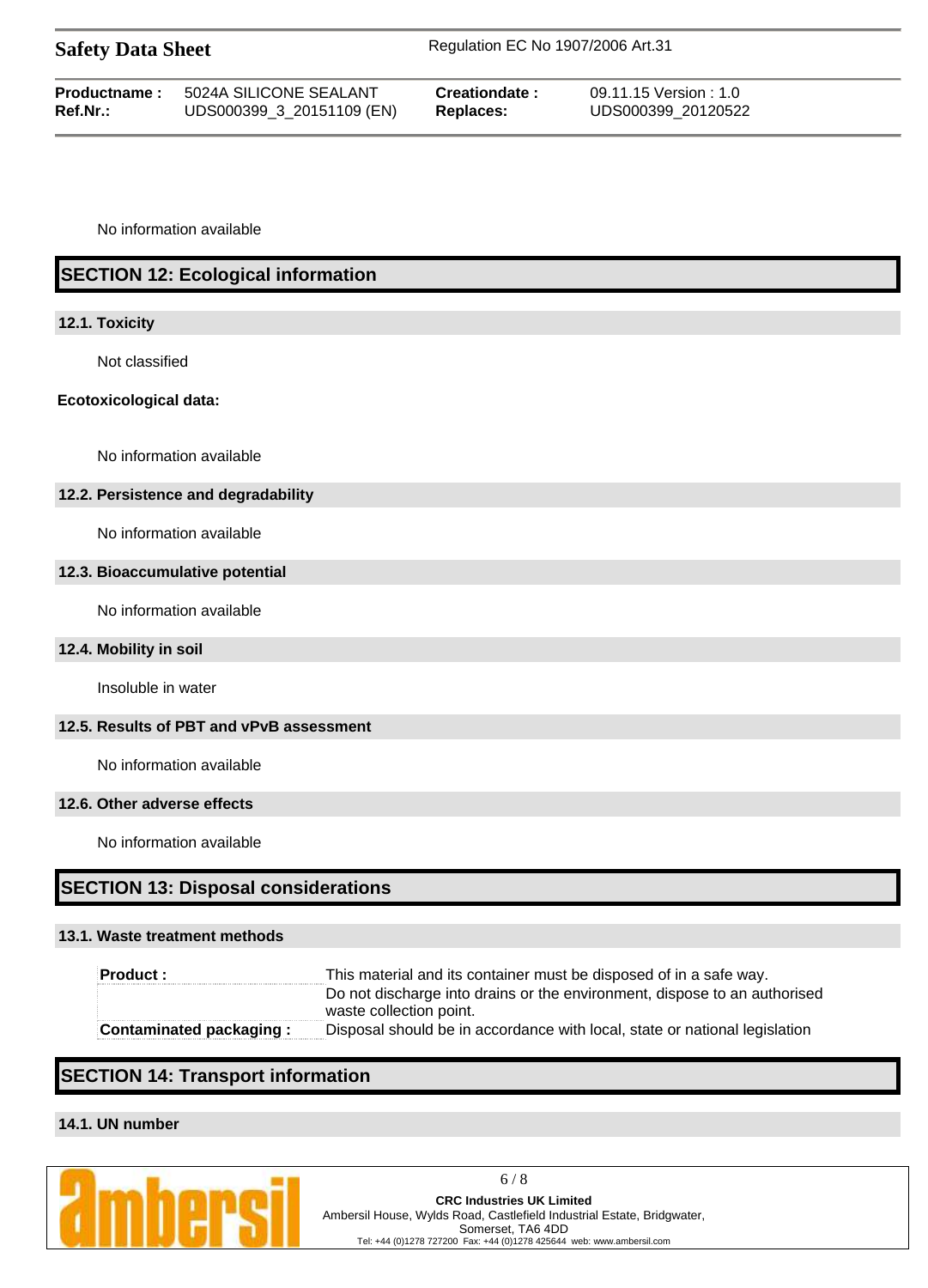| <b>Safety Data Sheet</b> |                           | Regulation EC No 1907/2006 Art.31 |                       |  |
|--------------------------|---------------------------|-----------------------------------|-----------------------|--|
| Productname:             | 5024A SILICONE SEALANT    | Creationdate:                     | 09.11.15 Version: 1.0 |  |
| $Ref.Nr.$ :              | UDS000399_3_20151109 (EN) | Replaces:                         | UDS000399 20120522    |  |

No information available

# **SECTION 12: Ecological information**

## **12.1. Toxicity**

Not classified

## **Ecotoxicological data:**

No information available

# **12.2. Persistence and degradability**

No information available

## **12.3. Bioaccumulative potential**

No information available

# **12.4. Mobility in soil**

Insoluble in water

# **12.5. Results of PBT and vPvB assessment**

No information available

### **12.6. Other adverse effects**

No information available

# **SECTION 13: Disposal considerations**

## **13.1. Waste treatment methods**

| Product :                      | This material and its container must be disposed of in a safe way.         |
|--------------------------------|----------------------------------------------------------------------------|
|                                | Do not discharge into drains or the environment, dispose to an authorised  |
|                                | waste collection point.                                                    |
| <b>Contaminated packaging:</b> | Disposal should be in accordance with local, state or national legislation |

# **SECTION 14: Transport information**

# **14.1. UN number**

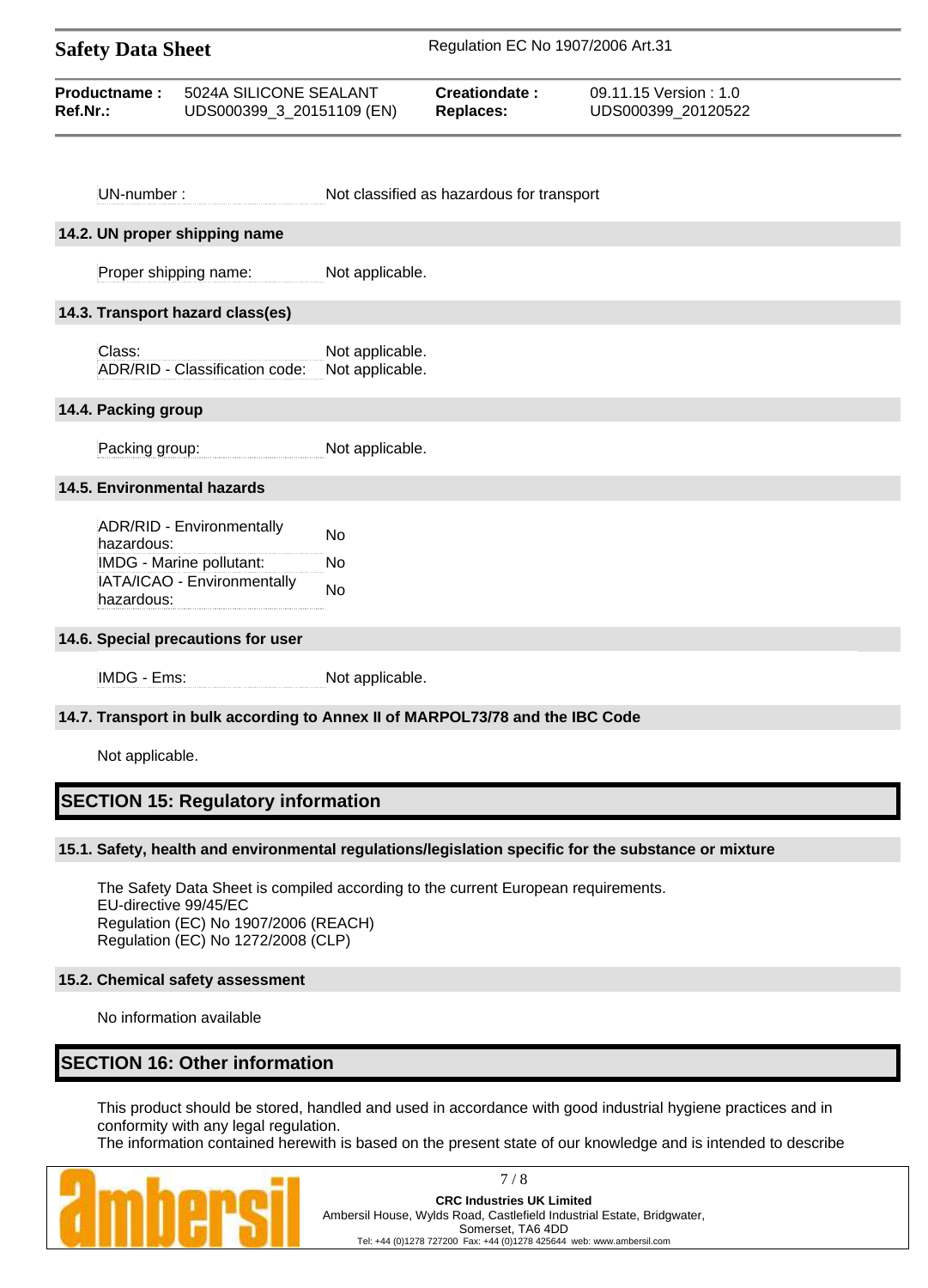| <b>Safety Data Sheet</b> |                           | Regulation EC No 1907/2006 Art.31 |                      |  |
|--------------------------|---------------------------|-----------------------------------|----------------------|--|
| Productname:             | 5024A SILICONE SEALANT    | Creationdate:                     | 09.11.15 Version:1.0 |  |
| Ref.Nr.:                 | UDS000399_3_20151109 (EN) | <b>Replaces:</b>                  | UDS000399 20120522   |  |

| UN-number:                                                                                                       | Not classified as hazardous for transport                                     |
|------------------------------------------------------------------------------------------------------------------|-------------------------------------------------------------------------------|
| 14.2. UN proper shipping name                                                                                    |                                                                               |
| Proper shipping name:                                                                                            | Not applicable.                                                               |
| 14.3. Transport hazard class(es)                                                                                 |                                                                               |
| Class:<br>ADR/RID - Classification code:                                                                         | Not applicable.<br>Not applicable.                                            |
| 14.4. Packing group                                                                                              |                                                                               |
| Packing group:                                                                                                   | Not applicable.                                                               |
| 14.5. Environmental hazards                                                                                      |                                                                               |
| ADR/RID - Environmentally<br>hazardous:<br>IMDG - Marine pollutant:<br>IATA/ICAO - Environmentally<br>hazardous: | <b>No</b><br>No<br>No                                                         |
|                                                                                                                  |                                                                               |
| 14.6. Special precautions for user                                                                               |                                                                               |
| IMDG - Ems:                                                                                                      | Not applicable.                                                               |
|                                                                                                                  | 14.7. Transport in bulk according to Annex II of MARPOL73/78 and the IBC Code |
| Not applicable.                                                                                                  |                                                                               |
| <b>SECTION 15: Regulatory information</b>                                                                        |                                                                               |

# **15.1. Safety, health and environmental regulations/legislation specific for the substance or mixture**

The Safety Data Sheet is compiled according to the current European requirements. EU-directive 99/45/EC Regulation (EC) No 1907/2006 (REACH) Regulation (EC) No 1272/2008 (CLP)

# **15.2. Chemical safety assessment**

No information available

# **SECTION 16: Other information**

This product should be stored, handled and used in accordance with good industrial hygiene practices and in conformity with any legal regulation.

The information contained herewith is based on the present state of our knowledge and is intended to describe



7 / 8